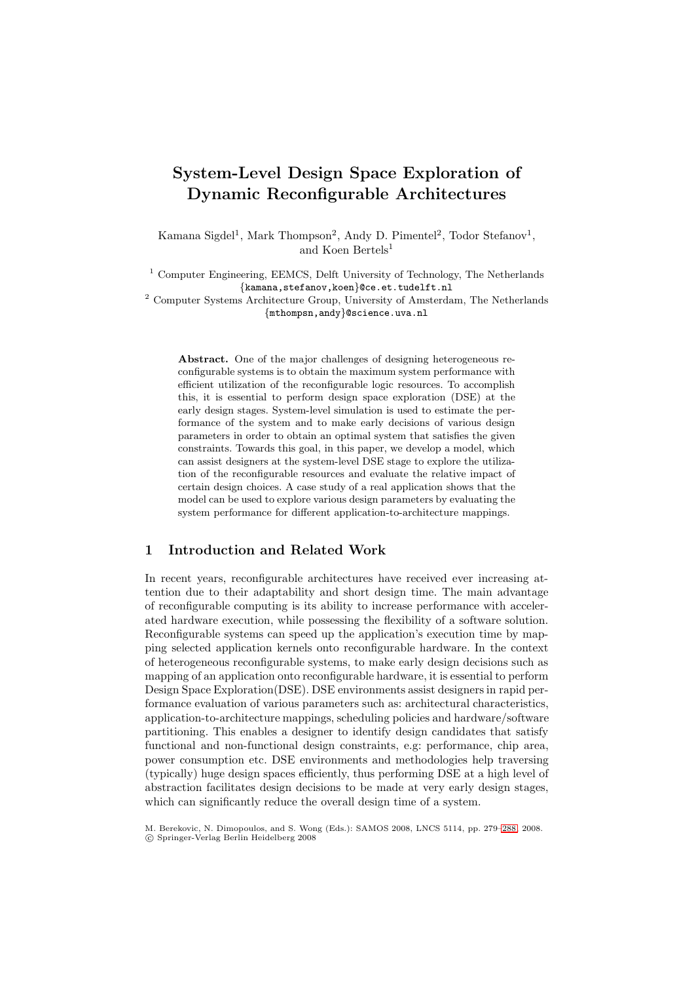# **System-Level Design Space Exploration of Dynamic Reconfigurable Architectures**

Kamana Sigdel<sup>1</sup>, Mark Thompson<sup>2</sup>, Andy D. Pimentel<sup>2</sup>, Todor Stefanov<sup>1</sup>, and Koen Bertels<sup>1</sup>

<sup>1</sup> Computer Engineering, EEMCS, Delft University of Technology, The Netherlands {kamana,stefanov,koen}@ce.et.tudelft.nl

<sup>2</sup> Computer Systems Architecture Group, University of Amsterdam, The Netherlands {mthompsn,andy}@science.uva.nl

**Abstract.** One of the major challenges of designing heterogeneous reconfigurable systems is to obtain the maximum system performance with efficient utilization of the reconfigurable logic resources. To accomplish this, it is essential to perform design space exploration (DSE) at the early design stages. System-level simulation is used to estimate the performance of the system and to make early decisions of various design parameters in order to obtain an optimal system that satisfies the given constraints. Towards this goal, in this paper, we develop a model, which can assist designers at the system-level DSE stage to explore the utilization of the reconfigurable resources and evaluate the relative impact of certain design choices. A case study of a real application shows that the model can be used to explore various design parameters by evaluating the system performance for different application-to-architecture mappings.

# **1 Introduction and Related Work**

In recent years, reconfigurable architectures have received ever increasing attention due to their adaptability and short design time. The main advantage of reconfigurable computing is its ability to increase performance with accelerated hardware execution, while possessing the flexibility of a software solution. Reconfigurable systems can speed up the application's execution time by mapping selected application kernels onto reconfigurable hardware. In the context of heterogeneous reconfigurable systems, to make early design decisions such as mapping of an application onto reconfigurable hardware, it is essential to perform Design Space Exploration(DSE). DSE environments assist designers in rapid performance evaluation of various parameters such as: architectural characteristics, application-to-architecture mappings, scheduling policies and hardware/software partitioning. This enables a designer to identify design candidates that satisfy functional and non-functional design constraints, e.g: performance, chip area, power consumption etc. DSE environments and methodologies help traversing (typically) huge design spaces efficiently, thus performing DSE at a high level of abstraction facilitates design decisions to be made at very early design stages, which can significantly reduce the overall design time of a system.

M. Berekovic, N. Dimopoulos, and S. Wong (Eds.): SAMOS 2008, LNCS 5114, pp. 279[–288,](#page-9-0) 2008. -c Springer-Verlag Berlin Heidelberg 2008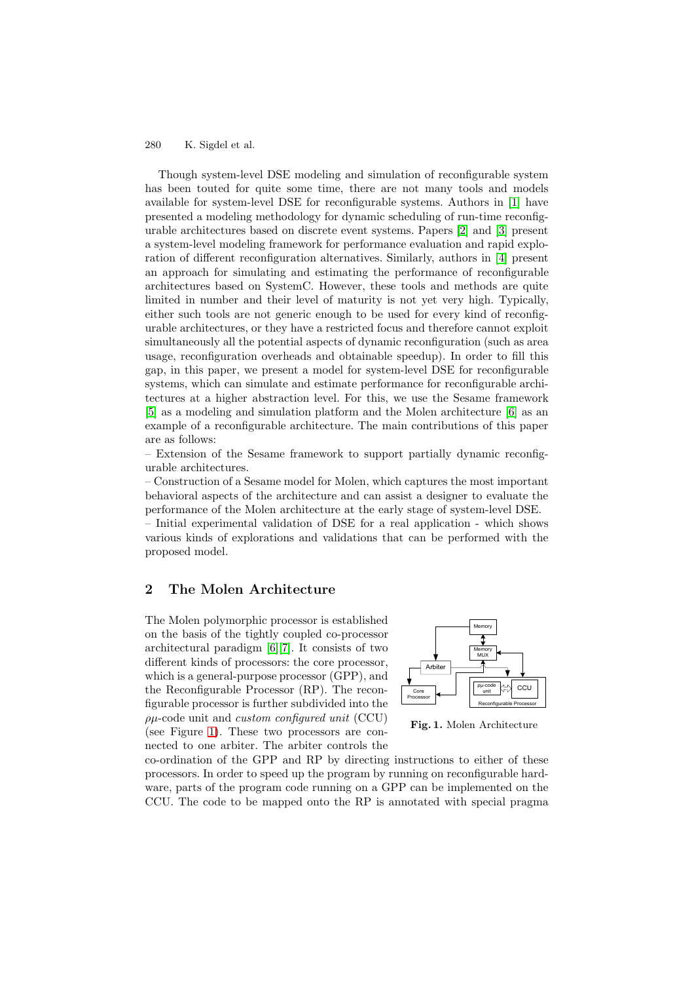Though system-level DSE modeling and simulation of reconfigurable system has been touted for quite some time, there are not many tools and models available for system-level DSE for reconfigurable systems. Authors in [\[1\]](#page-9-1) have presented a modeling methodology for dynamic scheduling of run-time reconfigurable architectures based on discrete event systems. Papers [\[2\]](#page-9-2) and [\[3\]](#page-9-3) present a system-level modeling framework for performance evaluation and rapid exploration of different reconfiguration alternatives. Similarly, authors in [\[4\]](#page-9-4) present an approach for simulating and estimating the performance of reconfigurable architectures based on SystemC. However, these tools and methods are quite limited in number and their level of maturity is not yet very high. Typically, either such tools are not generic enough to be used for every kind of reconfigurable architectures, or they have a restricted focus and therefore cannot exploit simultaneously all the potential aspects of dynamic reconfiguration (such as area usage, reconfiguration overheads and obtainable speedup). In order to fill this gap, in this paper, we present a model for system-level DSE for reconfigurable systems, which can simulate and estimate performance for reconfigurable architectures at a higher abstraction level. For this, we use the Sesame framework [\[5\]](#page-9-5) as a modeling and simulation platform and the Molen architecture [\[6\]](#page-9-6) as an example of a reconfigurable architecture. The main contributions of this paper are as follows:

– Extension of the Sesame framework to support partially dynamic reconfigurable architectures.

– Construction of a Sesame model for Molen, which captures the most important behavioral aspects of the architecture and can assist a designer to evaluate the performance of the Molen architecture at the early stage of system-level DSE.

– Initial experimental validation of DSE for a real application - which shows various kinds of explorations and validations that can be performed with the proposed model.

## **2 The Molen Architecture**

The Molen polymorphic processor is established on the basis of the tightly coupled co-processor architectural paradigm [\[6\]](#page-9-6)[\[7\]](#page-9-7). It consists of two different kinds of processors: the core processor, which is a general-purpose processor (GPP), and the Reconfigurable Processor (RP). The reconfigurable processor is further subdivided into the  $\rho\mu$ -code unit and *custom configured unit* (CCU) (see Figure [1\)](#page-1-0). These two processors are connected to one arbiter. The arbiter controls the



<span id="page-1-0"></span>**Fig. 1.** Molen Architecture

co-ordination of the GPP and RP by directing instructions to either of these processors. In order to speed up the program by running on reconfigurable hardware, parts of the program code running on a GPP can be implemented on the CCU. The code to be mapped onto the RP is annotated with special pragma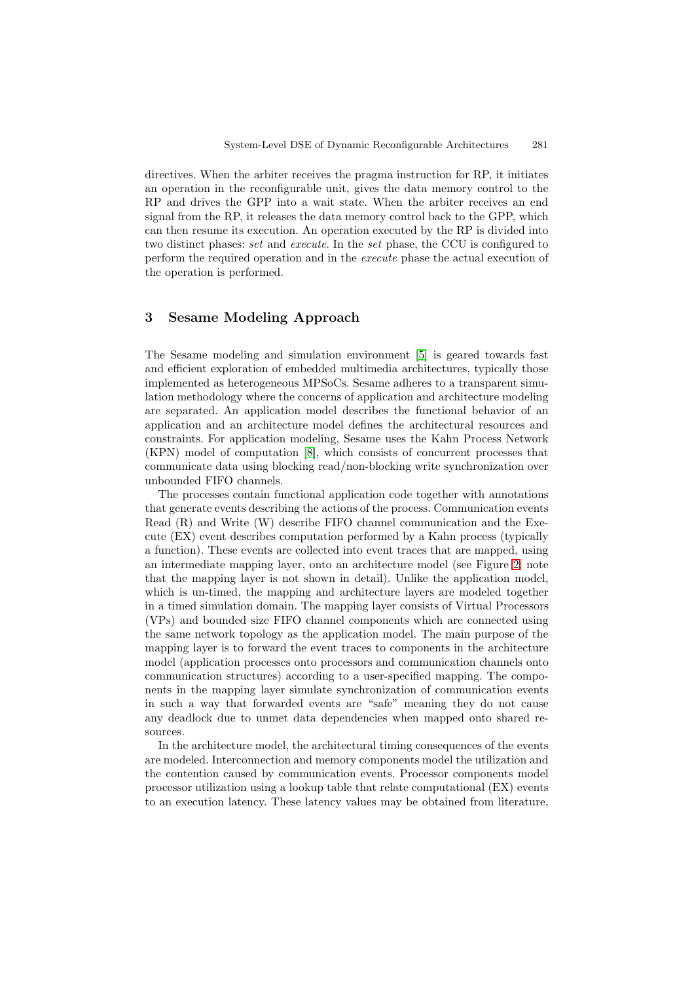directives. When the arbiter receives the pragma instruction for RP, it initiates an operation in the reconfigurable unit, gives the data memory control to the RP and drives the GPP into a wait state. When the arbiter receives an end signal from the RP, it releases the data memory control back to the GPP, which can then resume its execution. An operation executed by the RP is divided into two distinct phases: set and execute. In the set phase, the CCU is configured to perform the required operation and in the execute phase the actual execution of the operation is performed.

# **3 Sesame Modeling Approach**

The Sesame modeling and simulation environment [\[5\]](#page-9-5) is geared towards fast and efficient exploration of embedded multimedia architectures, typically those implemented as heterogeneous MPSoCs. Sesame adheres to a transparent simulation methodology where the concerns of application and architecture modeling are separated. An application model describes the functional behavior of an application and an architecture model defines the architectural resources and constraints. For application modeling, Sesame uses the Kahn Process Network (KPN) model of computation [\[8\]](#page-9-8), which consists of concurrent processes that communicate data using blocking read/non-blocking write synchronization over unbounded FIFO channels.

The processes contain functional application code together with annotations that generate events describing the actions of the process. Communication events Read (R) and Write (W) describe FIFO channel communication and the Execute (EX) event describes computation performed by a Kahn process (typically a function). These events are collected into event traces that are mapped, using an intermediate mapping layer, onto an architecture model (see Figure [2;](#page-4-0) note that the mapping layer is not shown in detail). Unlike the application model, which is un-timed, the mapping and architecture layers are modeled together in a timed simulation domain. The mapping layer consists of Virtual Processors (VPs) and bounded size FIFO channel components which are connected using the same network topology as the application model. The main purpose of the mapping layer is to forward the event traces to components in the architecture model (application processes onto processors and communication channels onto communication structures) according to a user-specified mapping. The components in the mapping layer simulate synchronization of communication events in such a way that forwarded events are "safe" meaning they do not cause any deadlock due to unmet data dependencies when mapped onto shared resources.

In the architecture model, the architectural timing consequences of the events are modeled. Interconnection and memory components model the utilization and the contention caused by communication events. Processor components model processor utilization using a lookup table that relate computational (EX) events to an execution latency. These latency values may be obtained from literature,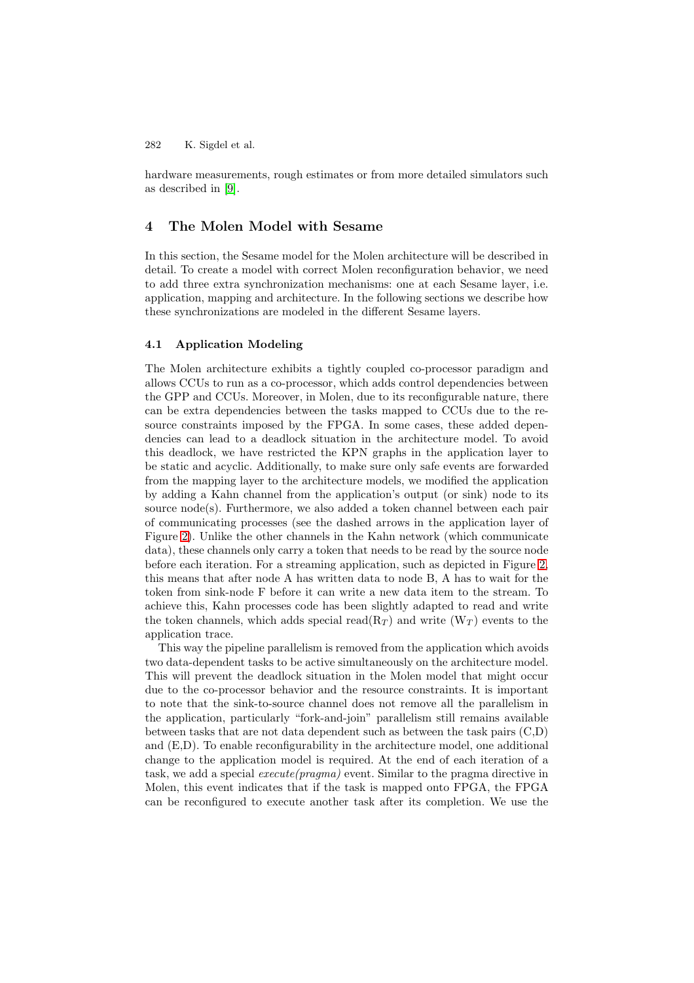hardware measurements, rough estimates or from more detailed simulators such as described in [\[9\]](#page-9-9).

# **4 The Molen Model with Sesame**

In this section, the Sesame model for the Molen architecture will be described in detail. To create a model with correct Molen reconfiguration behavior, we need to add three extra synchronization mechanisms: one at each Sesame layer, i.e. application, mapping and architecture. In the following sections we describe how these synchronizations are modeled in the different Sesame layers.

## **4.1 Application Modeling**

The Molen architecture exhibits a tightly coupled co-processor paradigm and allows CCUs to run as a co-processor, which adds control dependencies between the GPP and CCUs. Moreover, in Molen, due to its reconfigurable nature, there can be extra dependencies between the tasks mapped to CCUs due to the resource constraints imposed by the FPGA. In some cases, these added dependencies can lead to a deadlock situation in the architecture model. To avoid this deadlock, we have restricted the KPN graphs in the application layer to be static and acyclic. Additionally, to make sure only safe events are forwarded from the mapping layer to the architecture models, we modified the application by adding a Kahn channel from the application's output (or sink) node to its source node(s). Furthermore, we also added a token channel between each pair of communicating processes (see the dashed arrows in the application layer of Figure [2\)](#page-4-0). Unlike the other channels in the Kahn network (which communicate data), these channels only carry a token that needs to be read by the source node before each iteration. For a streaming application, such as depicted in Figure [2,](#page-4-0) this means that after node A has written data to node B, A has to wait for the token from sink-node F before it can write a new data item to the stream. To achieve this, Kahn processes code has been slightly adapted to read and write the token channels, which adds special read( $R_T$ ) and write  $(W_T)$  events to the application trace.

This way the pipeline parallelism is removed from the application which avoids two data-dependent tasks to be active simultaneously on the architecture model. This will prevent the deadlock situation in the Molen model that might occur due to the co-processor behavior and the resource constraints. It is important to note that the sink-to-source channel does not remove all the parallelism in the application, particularly "fork-and-join" parallelism still remains available between tasks that are not data dependent such as between the task pairs (C,D) and (E,D). To enable reconfigurability in the architecture model, one additional change to the application model is required. At the end of each iteration of a task, we add a special execute(pragma) event. Similar to the pragma directive in Molen, this event indicates that if the task is mapped onto FPGA, the FPGA can be reconfigured to execute another task after its completion. We use the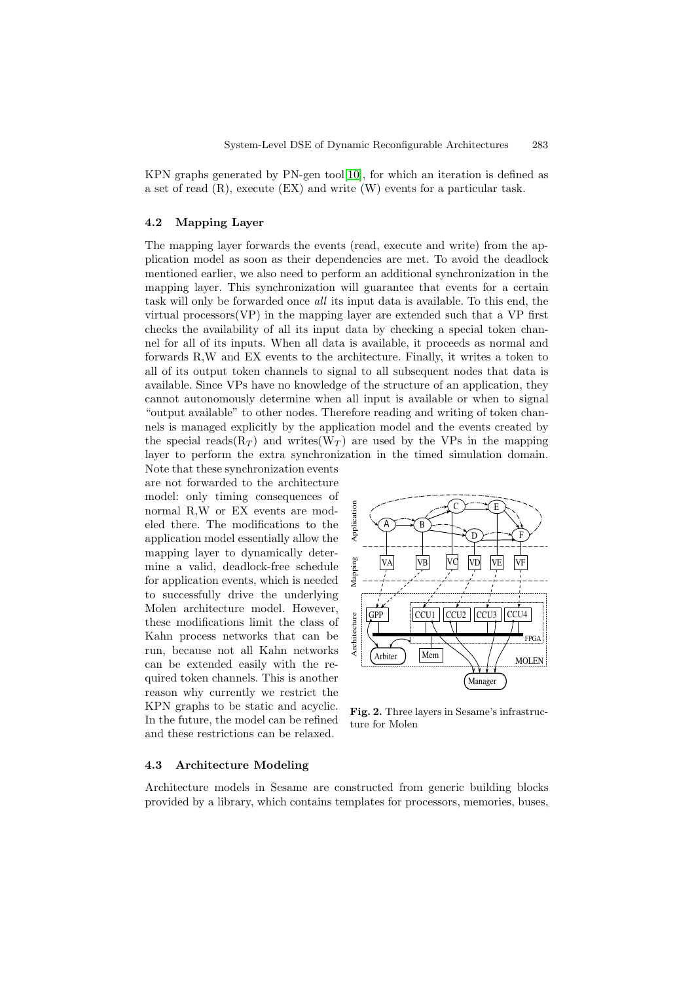KPN graphs generated by PN-gen tool[\[10\]](#page-9-10), for which an iteration is defined as a set of read (R), execute (EX) and write (W) events for a particular task.

## **4.2 Mapping Layer**

The mapping layer forwards the events (read, execute and write) from the application model as soon as their dependencies are met. To avoid the deadlock mentioned earlier, we also need to perform an additional synchronization in the mapping layer. This synchronization will guarantee that events for a certain task will only be forwarded once all its input data is available. To this end, the virtual processors(VP) in the mapping layer are extended such that a VP first checks the availability of all its input data by checking a special token channel for all of its inputs. When all data is available, it proceeds as normal and forwards R,W and EX events to the architecture. Finally, it writes a token to all of its output token channels to signal to all subsequent nodes that data is available. Since VPs have no knowledge of the structure of an application, they cannot autonomously determine when all input is available or when to signal "output available" to other nodes. Therefore reading and writing of token channels is managed explicitly by the application model and the events created by the special reads( $R_T$ ) and writes( $W_T$ ) are used by the VPs in the mapping layer to perform the extra synchronization in the timed simulation domain.

Note that these synchronization events are not forwarded to the architecture model: only timing consequences of normal R,W or EX events are modeled there. The modifications to the application model essentially allow the mapping layer to dynamically determine a valid, deadlock-free schedule for application events, which is needed to successfully drive the underlying Molen architecture model. However, these modifications limit the class of Kahn process networks that can be run, because not all Kahn networks can be extended easily with the required token channels. This is another reason why currently we restrict the KPN graphs to be static and acyclic. In the future, the model can be refined and these restrictions can be relaxed.



<span id="page-4-0"></span>**Fig. 2.** Three layers in Sesame's infrastructure for Molen

### <span id="page-4-1"></span>**4.3 Architecture Modeling**

Architecture models in Sesame are constructed from generic building blocks provided by a library, which contains templates for processors, memories, buses,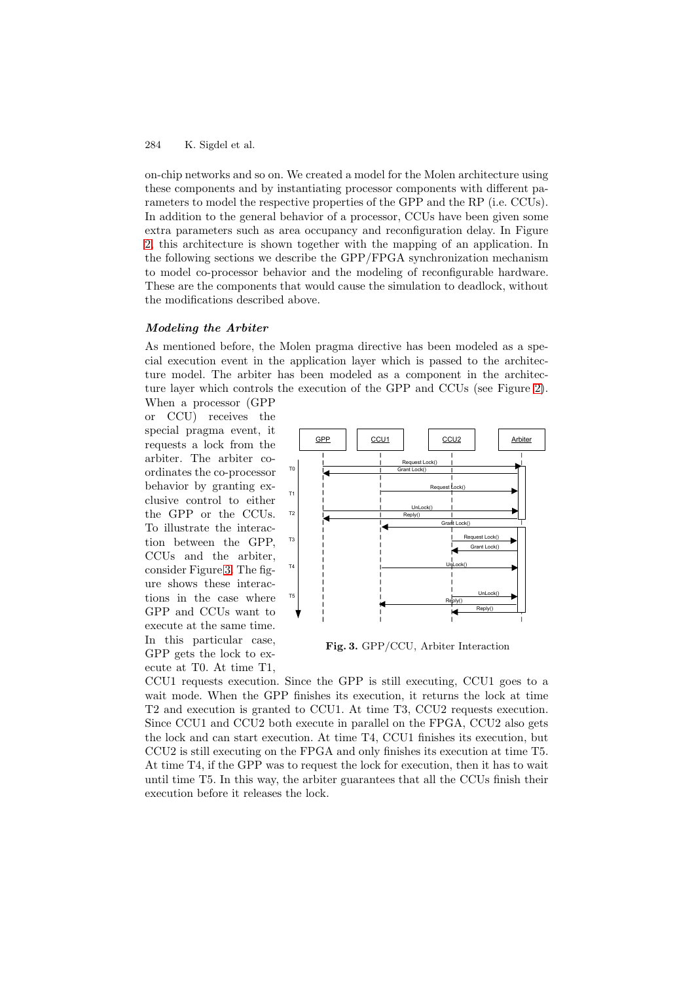on-chip networks and so on. We created a model for the Molen architecture using these components and by instantiating processor components with different parameters to model the respective properties of the GPP and the RP (i.e. CCUs). In addition to the general behavior of a processor, CCUs have been given some extra parameters such as area occupancy and reconfiguration delay. In Figure [2,](#page-4-0) this architecture is shown together with the mapping of an application. In the following sections we describe the GPP/FPGA synchronization mechanism to model co-processor behavior and the modeling of reconfigurable hardware. These are the components that would cause the simulation to deadlock, without the modifications described above.

## *Modeling the Arbiter*

As mentioned before, the Molen pragma directive has been modeled as a special execution event in the application layer which is passed to the architecture model. The arbiter has been modeled as a component in the architecture layer which controls the execution of the GPP and CCUs (see Figure [2\)](#page-4-0). When a processor (GPP

or CCU) receives the special pragma event, it requests a lock from the arbiter. The arbiter coordinates the co-processor behavior by granting exclusive control to either the GPP or the CCUs. To illustrate the interaction between the GPP, CCUs and the arbiter, consider Figure [3.](#page-5-0) The figure shows these interactions in the case where GPP and CCUs want to execute at the same time. In this particular case, GPP gets the lock to execute at T0. At time T1,



<span id="page-5-0"></span>**Fig. 3.** GPP/CCU, Arbiter Interaction

CCU1 requests execution. Since the GPP is still executing, CCU1 goes to a wait mode. When the GPP finishes its execution, it returns the lock at time T2 and execution is granted to CCU1. At time T3, CCU2 requests execution. Since CCU1 and CCU2 both execute in parallel on the FPGA, CCU2 also gets the lock and can start execution. At time T4, CCU1 finishes its execution, but CCU2 is still executing on the FPGA and only finishes its execution at time T5. At time T4, if the GPP was to request the lock for execution, then it has to wait until time T5. In this way, the arbiter guarantees that all the CCUs finish their execution before it releases the lock.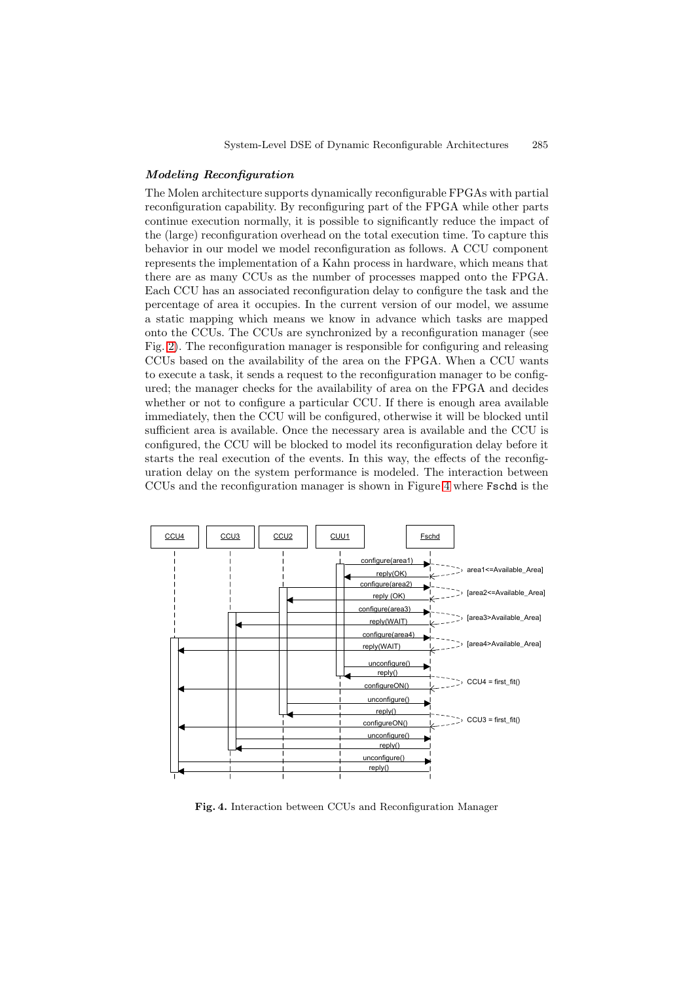## *Modeling Reconfiguration*

The Molen architecture supports dynamically reconfigurable FPGAs with partial reconfiguration capability. By reconfiguring part of the FPGA while other parts continue execution normally, it is possible to significantly reduce the impact of the (large) reconfiguration overhead on the total execution time. To capture this behavior in our model we model reconfiguration as follows. A CCU component represents the implementation of a Kahn process in hardware, which means that there are as many CCUs as the number of processes mapped onto the FPGA. Each CCU has an associated reconfiguration delay to configure the task and the percentage of area it occupies. In the current version of our model, we assume a static mapping which means we know in advance which tasks are mapped onto the CCUs. The CCUs are synchronized by a reconfiguration manager (see Fig. [2\)](#page-4-0). The reconfiguration manager is responsible for configuring and releasing CCUs based on the availability of the area on the FPGA. When a CCU wants to execute a task, it sends a request to the reconfiguration manager to be configured; the manager checks for the availability of area on the FPGA and decides whether or not to configure a particular CCU. If there is enough area available immediately, then the CCU will be configured, otherwise it will be blocked until sufficient area is available. Once the necessary area is available and the CCU is configured, the CCU will be blocked to model its reconfiguration delay before it starts the real execution of the events. In this way, the effects of the reconfiguration delay on the system performance is modeled. The interaction between CCUs and the reconfiguration manager is shown in Figure [4](#page-6-0) where Fschd is the



<span id="page-6-0"></span>**Fig. 4.** Interaction between CCUs and Reconfiguration Manager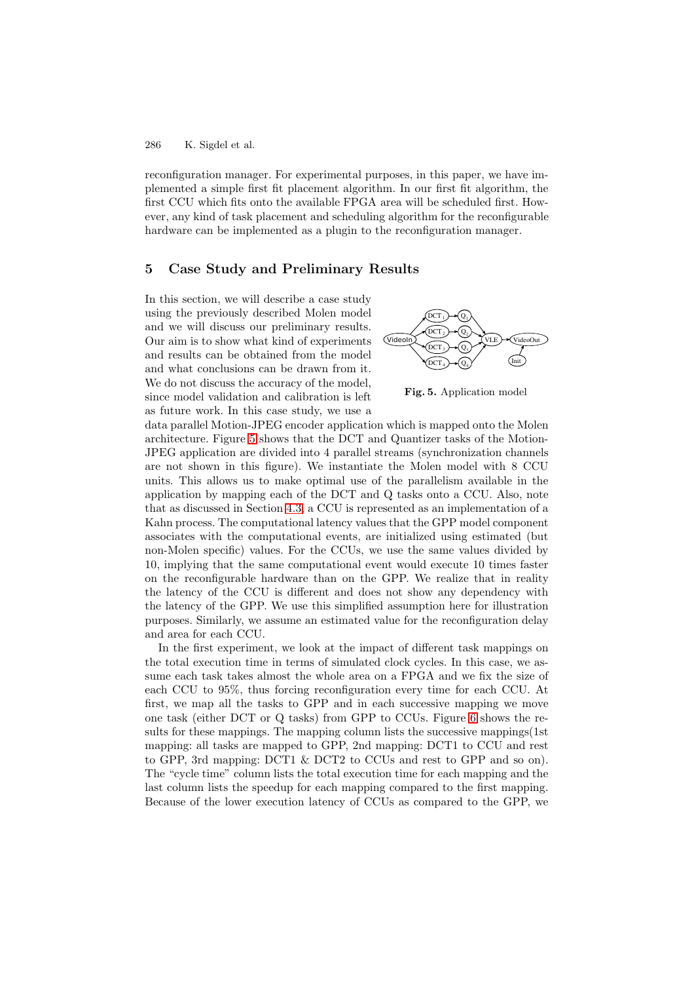reconfiguration manager. For experimental purposes, in this paper, we have implemented a simple first fit placement algorithm. In our first fit algorithm, the first CCU which fits onto the available FPGA area will be scheduled first. However, any kind of task placement and scheduling algorithm for the reconfigurable hardware can be implemented as a plugin to the reconfiguration manager.

## <span id="page-7-0"></span>**5 Case Study and Preliminary Results**

In this section, we will describe a case study using the previously described Molen model and we will discuss our preliminary results. Our aim is to show what kind of experiments and results can be obtained from the model and what conclusions can be drawn from it. We do not discuss the accuracy of the model, since model validation and calibration is left as future work. In this case study, we use a



**Fig. 5.** Application model

data parallel Motion-JPEG encoder application which is mapped onto the Molen architecture. Figure [5](#page-7-0) shows that the DCT and Quantizer tasks of the Motion-JPEG application are divided into 4 parallel streams (synchronization channels are not shown in this figure). We instantiate the Molen model with 8 CCU units. This allows us to make optimal use of the parallelism available in the application by mapping each of the DCT and Q tasks onto a CCU. Also, note that as discussed in Section [4.3,](#page-4-1) a CCU is represented as an implementation of a Kahn process. The computational latency values that the GPP model component associates with the computational events, are initialized using estimated (but non-Molen specific) values. For the CCUs, we use the same values divided by 10, implying that the same computational event would execute 10 times faster on the reconfigurable hardware than on the GPP. We realize that in reality the latency of the CCU is different and does not show any dependency with the latency of the GPP. We use this simplified assumption here for illustration purposes. Similarly, we assume an estimated value for the reconfiguration delay and area for each CCU.

In the first experiment, we look at the impact of different task mappings on the total execution time in terms of simulated clock cycles. In this case, we assume each task takes almost the whole area on a FPGA and we fix the size of each CCU to 95%, thus forcing reconfiguration every time for each CCU. At first, we map all the tasks to GPP and in each successive mapping we move one task (either DCT or Q tasks) from GPP to CCUs. Figure [6](#page-8-0) shows the results for these mappings. The mapping column lists the successive mappings(1st mapping: all tasks are mapped to GPP, 2nd mapping: DCT1 to CCU and rest to GPP, 3rd mapping: DCT1 & DCT2 to CCUs and rest to GPP and so on). The "cycle time" column lists the total execution time for each mapping and the last column lists the speedup for each mapping compared to the first mapping. Because of the lower execution latency of CCUs as compared to the GPP, we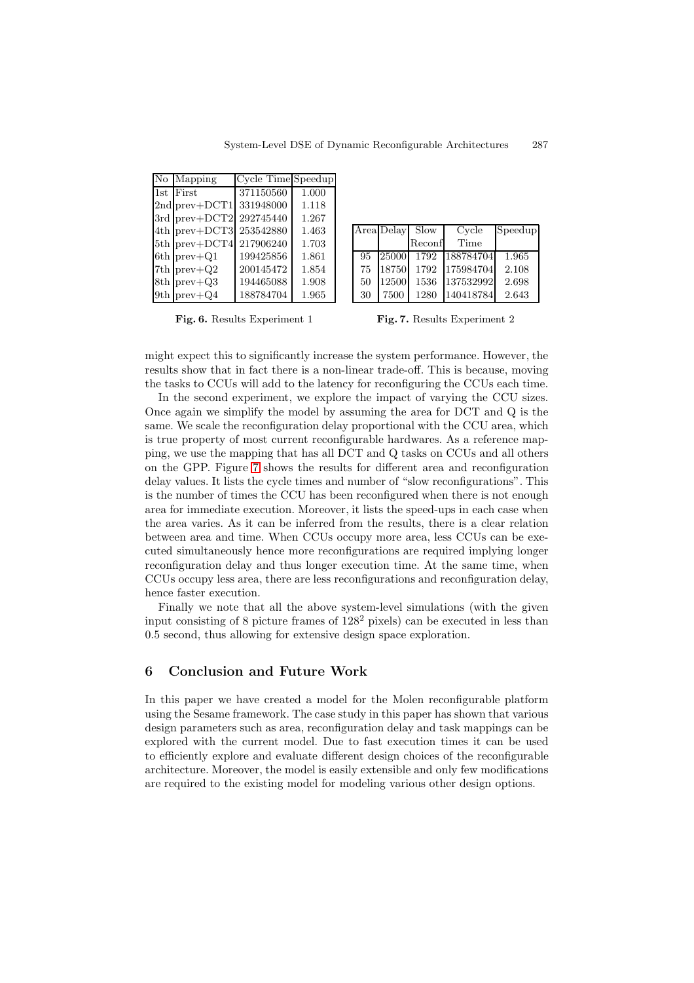|     | No Mapping       | Cycle Time Speedup |       |
|-----|------------------|--------------------|-------|
|     | 1st First        | 371150560          | 1.000 |
|     | $2nd prev+DCT1 $ | 331948000          | 1.118 |
|     | 3rd $prev+DCT2$  | 292745440          | 1.267 |
|     | $4th$ prev+DCT3  | 253542880          | 1.463 |
|     | 5th prev+DCT4    | 217906240          | 1.703 |
|     | 6th $prev+Q1$    | 199425856          | 1.861 |
|     | 7th $ prev+Q2$   | 200145472          | 1.854 |
|     | 8th prev+Q3      | 194465088          | 1.908 |
| 9th | $prev+Q4$        | 188784704          | 1.965 |

**Fig. 6.** Results Experiment 1

<span id="page-8-1"></span>30 7500 1280 140418784 2.643 **Fig. 7.** Results Experiment 2

Area Delay Slow Cycle Speedup Reconf Time 95 25000 1792 188784704 1.965 75 18750 1792 175984704 2.108 50 12500 1536 137532992 2.698

<span id="page-8-0"></span>might expect this to significantly increase the system performance. However, the results show that in fact there is a non-linear trade-off. This is because, moving the tasks to CCUs will add to the latency for reconfiguring the CCUs each time.

In the second experiment, we explore the impact of varying the CCU sizes. Once again we simplify the model by assuming the area for DCT and Q is the same. We scale the reconfiguration delay proportional with the CCU area, which is true property of most current reconfigurable hardwares. As a reference mapping, we use the mapping that has all DCT and Q tasks on CCUs and all others on the GPP. Figure [7](#page-8-1) shows the results for different area and reconfiguration delay values. It lists the cycle times and number of "slow reconfigurations". This is the number of times the CCU has been reconfigured when there is not enough area for immediate execution. Moreover, it lists the speed-ups in each case when the area varies. As it can be inferred from the results, there is a clear relation between area and time. When CCUs occupy more area, less CCUs can be executed simultaneously hence more reconfigurations are required implying longer reconfiguration delay and thus longer execution time. At the same time, when CCUs occupy less area, there are less reconfigurations and reconfiguration delay, hence faster execution.

Finally we note that all the above system-level simulations (with the given input consisting of 8 picture frames of  $128<sup>2</sup>$  pixels) can be executed in less than 0.5 second, thus allowing for extensive design space exploration.

# **6 Conclusion and Future Work**

In this paper we have created a model for the Molen reconfigurable platform using the Sesame framework. The case study in this paper has shown that various design parameters such as area, reconfiguration delay and task mappings can be explored with the current model. Due to fast execution times it can be used to efficiently explore and evaluate different design choices of the reconfigurable architecture. Moreover, the model is easily extensible and only few modifications are required to the existing model for modeling various other design options.